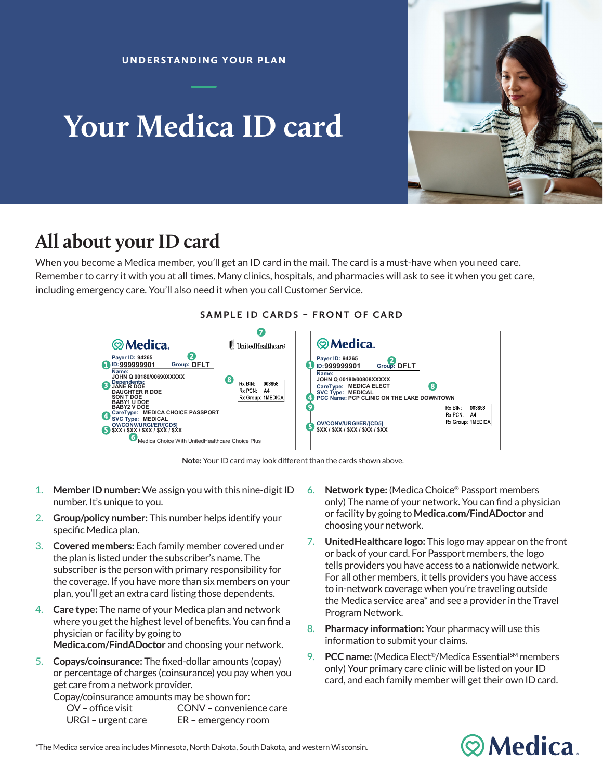# **Your Medica ID card**



## **All about your ID card**

When you become a Medica member, you'll get an ID card in the mail. The card is a must-have when you need care. Remember to carry it with you at all times. Many clinics, hospitals, and pharmacies will ask to see it when you get care, including emergency care. You'll also need it when you call Customer Service.



#### **SAMPLE ID CARDS – FRONT OF CARD**

Note: Your ID card may look different than the cards shown above.

- 1. **Member ID number:** We assign you with this nine-digit ID number. It's unique to you.
- John Q 00180/00690X 2. **Group/policy number:** This number helps identify your specific Medica plan.
- 3. **Covered members:** Each family member covered under the plan is listed under the subscriber's name. The ruu subscriber is the person with primary responsibility for the coverage. If you have more than six members on your plan, you'll get an extra card listing those dependents.
- 4. **Care type:** The name of your Medica plan and network where you get the highest level of benefits. You can find a physician or facility by going to Medica.com/FindADoctor and choosing your network.
- 5. Copays/coinsurance: The fixed-dollar amounts (copay) or percentage of charges (coinsurance) you pay when you get care from a network provider.

o<br>Copay/coinsurance amounts may be shown for:

| $OV - office visit$ | CONV - convenience care |
|---------------------|-------------------------|
| URGI – urgent care  | ER – emergency room     |

- 6. **Network type:** (Medica Choice® Passport members only) The name of your network. You can find a physician or facility by going to **Medica.com/FindADoctor** and choosing your network.
- tells providers you have access to a nationwide network. For all other members, it tells providers you have access the Medica service area<sup>\*</sup> and see a provider in the Travel 7. UnitedHealthcare logo: This logo may appear on the front or back of your card. For Passport members, the logo to in-network coverage when you're traveling outside Program Network.
- 8. Pharmacy information: Your pharmacy will use this providers, see whether a claim has been processed, and more.  $\mathsf{HIB.}$  You can get those online, too. Go to the member website too. Go to the member website to information to submit your claims.
- If you have a the number of your ID can be a the more to your ID can be a the back of your ID can be a the back o only) Your primary care clinic will be listed on your ID card, and each family member will get their own ID card.  $\mathbb{L}$  - urgent copayment copy 9. **PCC name:** (Medica Elect®/Medica Essential<sup>sM</sup> members